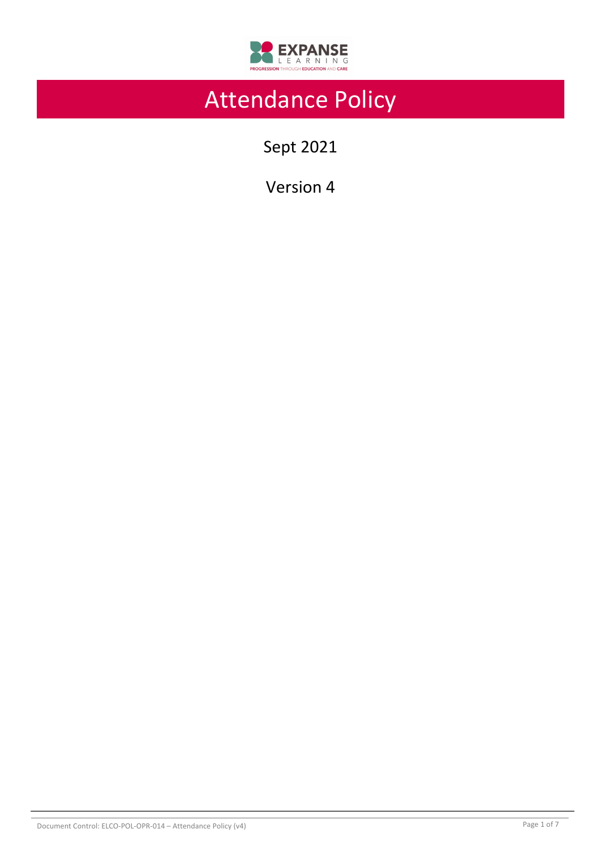

# Attendance Policy

Sept 2021

Version 4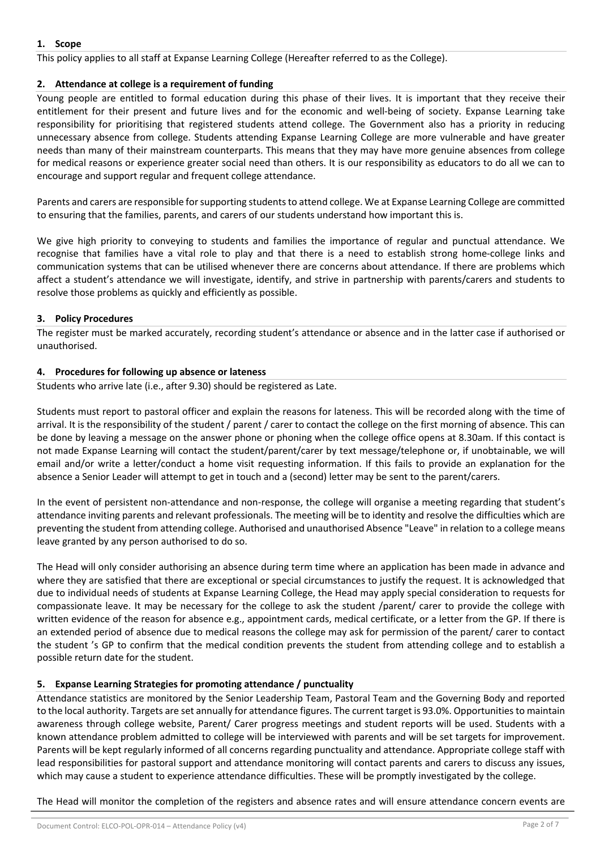# **1. Scope**

This policy applies to all staff at Expanse Learning College (Hereafter referred to as the College).

# **2. Attendance at college is a requirement of funding**

Young people are entitled to formal education during this phase of their lives. It is important that they receive their entitlement for their present and future lives and for the economic and well-being of society. Expanse Learning take responsibility for prioritising that registered students attend college. The Government also has a priority in reducing unnecessary absence from college. Students attending Expanse Learning College are more vulnerable and have greater needs than many of their mainstream counterparts. This means that they may have more genuine absences from college for medical reasons or experience greater social need than others. It is our responsibility as educators to do all we can to encourage and support regular and frequent college attendance.

Parents and carers are responsible for supporting students to attend college. We at Expanse Learning College are committed to ensuring that the families, parents, and carers of our students understand how important this is.

We give high priority to conveying to students and families the importance of regular and punctual attendance. We recognise that families have a vital role to play and that there is a need to establish strong home-college links and communication systems that can be utilised whenever there are concerns about attendance. If there are problems which affect a student's attendance we will investigate, identify, and strive in partnership with parents/carers and students to resolve those problems as quickly and efficiently as possible.

# **3. Policy Procedures**

The register must be marked accurately, recording student's attendance or absence and in the latter case if authorised or unauthorised.

# **4. Procedures for following up absence or lateness**

Students who arrive late (i.e., after 9.30) should be registered as Late.

Students must report to pastoral officer and explain the reasons for lateness. This will be recorded along with the time of arrival. It is the responsibility of the student / parent / carer to contact the college on the first morning of absence. This can be done by leaving a message on the answer phone or phoning when the college office opens at 8.30am. If this contact is not made Expanse Learning will contact the student/parent/carer by text message/telephone or, if unobtainable, we will email and/or write a letter/conduct a home visit requesting information. If this fails to provide an explanation for the absence a Senior Leader will attempt to get in touch and a (second) letter may be sent to the parent/carers.

In the event of persistent non-attendance and non-response, the college will organise a meeting regarding that student's attendance inviting parents and relevant professionals. The meeting will be to identity and resolve the difficulties which are preventing the student from attending college. Authorised and unauthorised Absence "Leave" in relation to a college means leave granted by any person authorised to do so.

The Head will only consider authorising an absence during term time where an application has been made in advance and where they are satisfied that there are exceptional or special circumstances to justify the request. It is acknowledged that due to individual needs of students at Expanse Learning College, the Head may apply special consideration to requests for compassionate leave. It may be necessary for the college to ask the student /parent/ carer to provide the college with written evidence of the reason for absence e.g., appointment cards, medical certificate, or a letter from the GP. If there is an extended period of absence due to medical reasons the college may ask for permission of the parent/ carer to contact the student 's GP to confirm that the medical condition prevents the student from attending college and to establish a possible return date for the student.

# **5. Expanse Learning Strategies for promoting attendance / punctuality**

Attendance statistics are monitored by the Senior Leadership Team, Pastoral Team and the Governing Body and reported to the local authority. Targets are set annually for attendance figures. The current target is 93.0%. Opportunities to maintain awareness through college website, Parent/ Carer progress meetings and student reports will be used. Students with a known attendance problem admitted to college will be interviewed with parents and will be set targets for improvement. Parents will be kept regularly informed of all concerns regarding punctuality and attendance. Appropriate college staff with lead responsibilities for pastoral support and attendance monitoring will contact parents and carers to discuss any issues, which may cause a student to experience attendance difficulties. These will be promptly investigated by the college.

The Head will monitor the completion of the registers and absence rates and will ensure attendance concern events are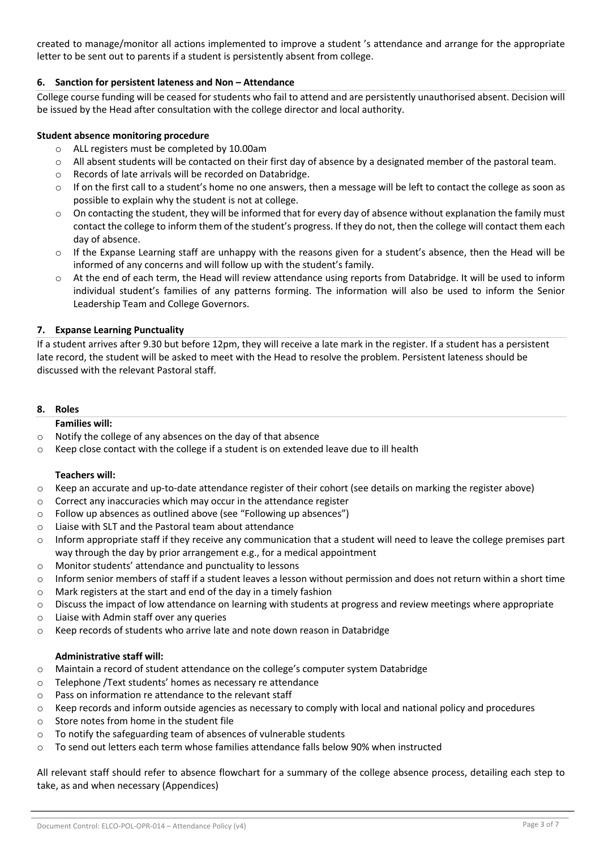created to manage/monitor all actions implemented to improve a student 's attendance and arrange for the appropriate letter to be sent out to parents if a student is persistently absent from college.

## **6. Sanction for persistent lateness and Non – Attendance**

College course funding will be ceased for students who fail to attend and are persistently unauthorised absent. Decision will be issued by the Head after consultation with the college director and local authority.

#### **Student absence monitoring procedure**

- o ALL registers must be completed by 10.00am
- $\circ$  All absent students will be contacted on their first day of absence by a designated member of the pastoral team.
- o Records of late arrivals will be recorded on Databridge.
- $\circ$  If on the first call to a student's home no one answers, then a message will be left to contact the college as soon as possible to explain why the student is not at college.
- o On contacting the student, they will be informed that for every day of absence without explanation the family must contact the college to inform them of the student's progress. If they do not, then the college will contact them each day of absence.
- $\circ$  If the Expanse Learning staff are unhappy with the reasons given for a student's absence, then the Head will be informed of any concerns and will follow up with the student's family.
- o At the end of each term, the Head will review attendance using reports from Databridge. It will be used to inform individual student's families of any patterns forming. The information will also be used to inform the Senior Leadership Team and College Governors.

#### **7. Expanse Learning Punctuality**

If a student arrives after 9.30 but before 12pm, they will receive a late mark in the register. If a student has a persistent late record, the student will be asked to meet with the Head to resolve the problem. Persistent lateness should be discussed with the relevant Pastoral staff.

#### **8. Roles**

**Families will:** 

- o Notify the college of any absences on the day of that absence
- $\circ$  Keep close contact with the college if a student is on extended leave due to ill health

#### **Teachers will:**

- o Keep an accurate and up-to-date attendance register of their cohort (see details on marking the register above)
- o Correct any inaccuracies which may occur in the attendance register
- o Follow up absences as outlined above (see "Following up absences")
- o Liaise with SLT and the Pastoral team about attendance
- $\circ$  Inform appropriate staff if they receive any communication that a student will need to leave the college premises part way through the day by prior arrangement e.g., for a medical appointment
- o Monitor students' attendance and punctuality to lessons
- $\circ$  Inform senior members of staff if a student leaves a lesson without permission and does not return within a short time
- o Mark registers at the start and end of the day in a timely fashion
- o Discuss the impact of low attendance on learning with students at progress and review meetings where appropriate
- o Liaise with Admin staff over any queries
- o Keep records of students who arrive late and note down reason in Databridge

#### **Administrative staff will:**

- o Maintain a record of student attendance on the college's computer system Databridge
- o Telephone /Text students' homes as necessary re attendance
- o Pass on information re attendance to the relevant staff
- $\circ$  Keep records and inform outside agencies as necessary to comply with local and national policy and procedures
- o Store notes from home in the student file
- o To notify the safeguarding team of absences of vulnerable students
- $\circ$  To send out letters each term whose families attendance falls below 90% when instructed

All relevant staff should refer to absence flowchart for a summary of the college absence process, detailing each step to take, as and when necessary (Appendices)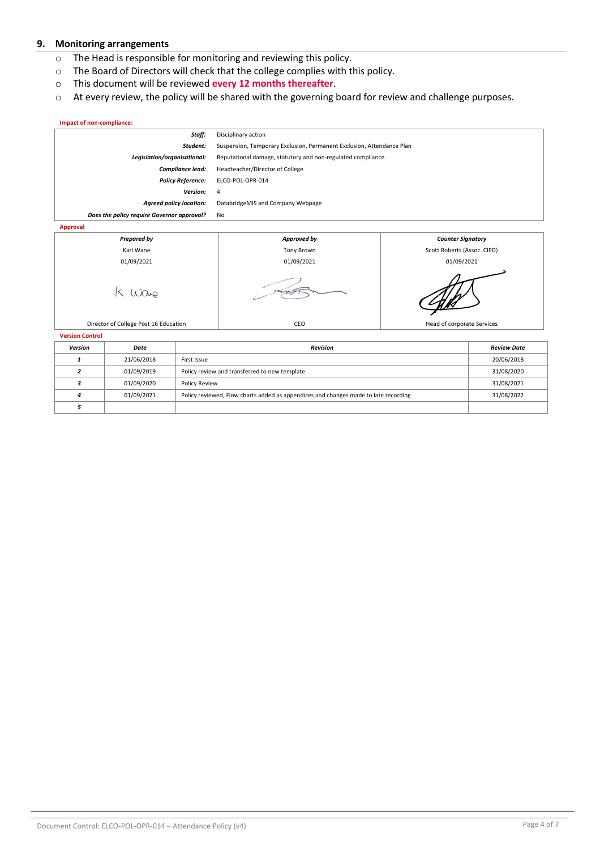#### **9. Monitoring arrangements**

- o The Head is responsible for monitoring and reviewing this policy.
- o The Board of Directors will check that the college complies with this policy.
- o This document will be reviewed **every 12 months thereafter**.
- o At every review, the policy will be shared with the governing board for review and challenge purposes.

#### **Impact of non-compliance:** *Staff:* Disciplinary action *Student:* Suspension, Temporary Exclusion, Permanent Exclusion, Attendance Plan *Legislation/organisational:* Reputational damage, statutory and non-regulated compliance. *Compliance lead:* Headteacher/Director of College *Policy Reference:* ELCO-POL-OPR-014 *Version:* 4 *Agreed policy location:* DatabridgeMIS and Company Webpage *Does the policy require Governor approval?* No **Approval**



**Version Control**

| <b>Version</b> | Date       | <b>Revision</b>                                                                     | <b>Review Date</b> |
|----------------|------------|-------------------------------------------------------------------------------------|--------------------|
|                | 21/06/2018 | First Issue                                                                         | 20/06/2018         |
|                | 01/09/2019 | Policy review and transferred to new template                                       | 31/08/2020         |
|                | 01/09/2020 | Policy Review                                                                       | 31/08/2021         |
|                | 01/09/2021 | Policy reviewed, Flow charts added as appendices and changes made to late recording | 31/08/2022         |
|                |            |                                                                                     |                    |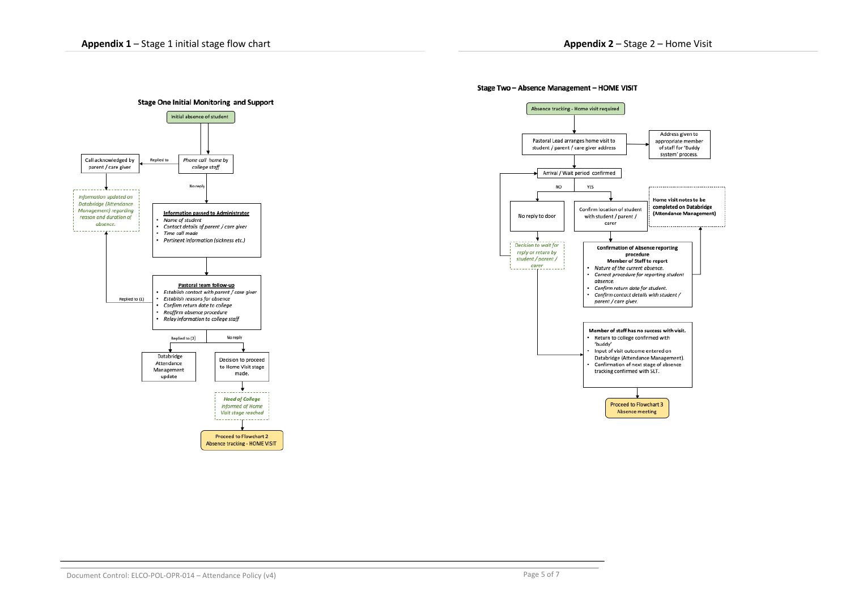

#### Stage Two - Absence Management - HOME VISIT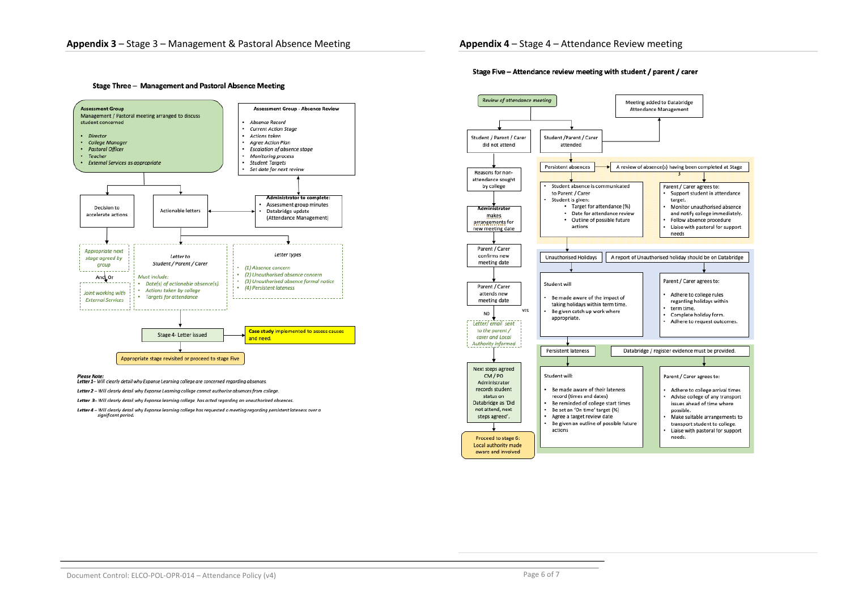Stage Three - Management and Pastoral Absence Meeting





Letter 2 - Will clearly detail why Expanse Learning college cannot authorize absences from college.

Letter 3- Will clearly detail why Expanse learning college has acted regarding an unauthorized absences.

Letter 4 - Will clearly detail why Expanse learning college has requested a meeting regarding persistent lateness over a significant period.